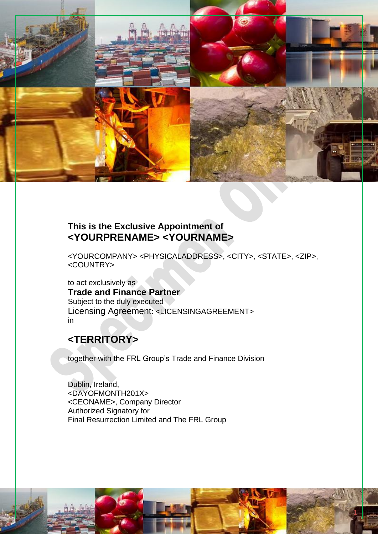

# **This is the Exclusive Appointment of <YOURPRENAME> <YOURNAME>**

<YOURCOMPANY> <PHYSICALADDRESS>, <CITY>, <STATE>, <ZIP>, <COUNTRY>

1

to act exclusively as **Trade and Finance Partner** Subject to the duly executed Licensing Agreement: <LICENSINGAGREEMENT> in

# **<TERRITORY>**

together with the FRL Group's Trade and Finance Division

Dublin, Ireland, <DAYOFMONTH201X> <CEONAME>, Company Director Authorized Signatory for Final Resurrection Limited and The FRL Group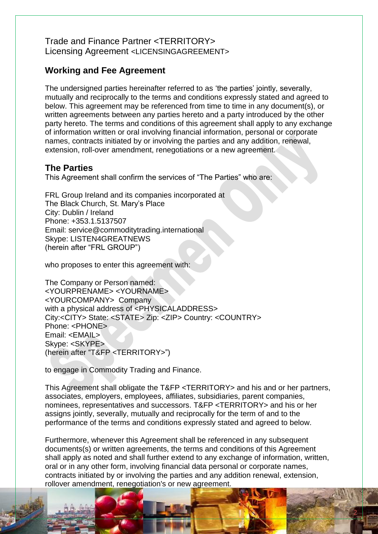## Trade and Finance Partner <TERRITORY> Licensing Agreement <LICENSINGAGREEMENT>

# **Working and Fee Agreement**

The undersigned parties hereinafter referred to as 'the parties' jointly, severally, mutually and reciprocally to the terms and conditions expressly stated and agreed to below. This agreement may be referenced from time to time in any document(s), or written agreements between any parties hereto and a party introduced by the other party hereto. The terms and conditions of this agreement shall apply to any exchange of information written or oral involving financial information, personal or corporate names, contracts initiated by or involving the parties and any addition, renewal, extension, roll-over amendment, renegotiations or a new agreement.

#### **The Parties**

This Agreement shall confirm the services of "The Parties" who are:

FRL Group Ireland and its companies incorporated at The Black Church, St. Mary's Place City: Dublin / Ireland Phone: +353.1.5137507 Email: service@commoditytrading.international Skype: LISTEN4GREATNEWS (herein after "FRL GROUP")

who proposes to enter this agreement with:

The Company or Person named: <YOURPRENAME> <YOURNAME> <YOURCOMPANY> Company with a physical address of <PHYSICALADDRESS> City:<CITY> State: <STATE> Zip: <ZIP> Country: <COUNTRY> Phone: <PHONE> Email: <EMAIL> Skype: <SKYPE> (herein after "T&FP <TERRITORY>")

to engage in Commodity Trading and Finance.

This Agreement shall obligate the T&FP <TERRITORY> and his and or her partners, associates, employers, employees, affiliates, subsidiaries, parent companies, nominees, representatives and successors. T&FP <TERRITORY> and his or her assigns jointly, severally, mutually and reciprocally for the term of and to the performance of the terms and conditions expressly stated and agreed to below.

Furthermore, whenever this Agreement shall be referenced in any subsequent documents(s) or written agreements, the terms and conditions of this Agreement shall apply as noted and shall further extend to any exchange of information, written, oral or in any other form, involving financial data personal or corporate names, contracts initiated by or involving the parties and any addition renewal, extension, rollover amendment, renegotiation's or new agreement.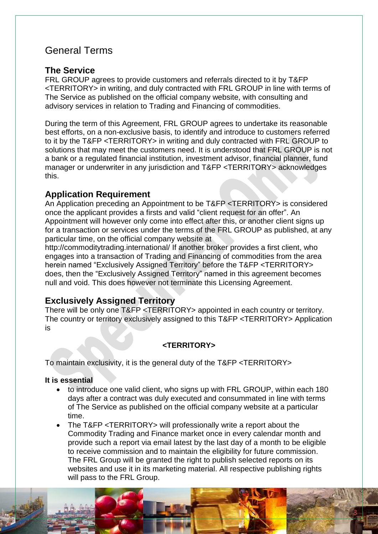# General Terms

#### **The Service**

FRL GROUP agrees to provide customers and referrals directed to it by T&FP <TERRITORY> in writing, and duly contracted with FRL GROUP in line with terms of The Service as published on the official company website, with consulting and advisory services in relation to Trading and Financing of commodities.

During the term of this Agreement, FRL GROUP agrees to undertake its reasonable best efforts, on a non-exclusive basis, to identify and introduce to customers referred to it by the T&FP <TERRITORY> in writing and duly contracted with FRL GROUP to solutions that may meet the customers need. It is understood that FRL GROUP is not a bank or a regulated financial institution, investment advisor, financial planner, fund manager or underwriter in any jurisdiction and T&FP <TERRITORY> acknowledges this.

# **Application Requirement**

An Application preceding an Appointment to be T&FP <TERRITORY> is considered once the applicant provides a firsts and valid "client request for an offer". An Appointment will however only come into effect after this, or another client signs up for a transaction or services under the terms of the FRL GROUP as published, at any particular time, on the official company website at

<http://commoditytrading.international/> If another broker provides a first client, who engages into a transaction of Trading and Financing of commodities from the area herein named "Exclusively Assigned Territory" before the T&FP <TERRITORY> does, then the "Exclusively Assigned Territory" named in this agreement becomes null and void. This does however not terminate this Licensing Agreement.

# **Exclusively Assigned Territory**

There will be only one T&FP <TERRITORY> appointed in each country or territory. The country or territory exclusively assigned to this T&FP <TERRITORY> Application is

#### **<TERRITORY>**

To maintain exclusivity, it is the general duty of the T&FP <TERRITORY>

#### **It is essential**

- to introduce one valid client, who signs up with FRL GROUP, within each 180 days after a contract was duly executed and consummated in line with terms of The Service as published on the official company website at a particular time.
- The T&FP <TERRITORY> will professionally write a report about the Commodity Trading and Finance market once in every calendar month and provide such a report via email latest by the last day of a month to be eligible to receive commission and to maintain the eligibility for future commission. The FRL Group will be granted the right to publish selected reports on its websites and use it in its marketing material. All respective publishing rights will pass to the FRL Group.

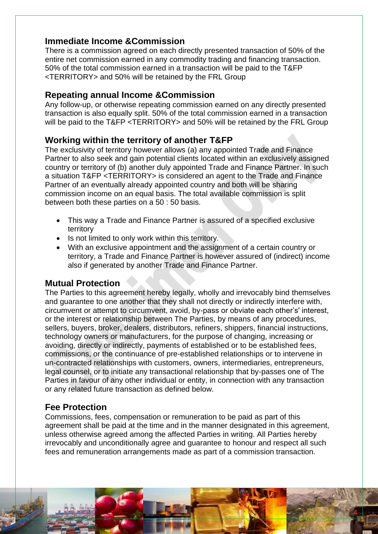## **Immediate Income &Commission**

There is a commission agreed on each directly presented transaction of 50% of the entire net commission earned in any commodity trading and financing transaction. 50% of the total commission earned in a transaction will be paid to the T&FP <TERRITORY> and 50% will be retained by the FRL Group

#### **Repeating annual Income &Commission**

Any follow-up, or otherwise repeating commission earned on any directly presented transaction is also equally split. 50% of the total commission earned in a transaction will be paid to the T&FP <TERRITORY> and 50% will be retained by the FRL Group

# **Working within the territory of another T&FP**

The exclusivity of territory however allows (a) any appointed Trade and Finance Partner to also seek and gain potential clients located within an exclusively assigned country or territory of (b) another duly appointed Trade and Finance Partner. In such a situation T&FP <TERRITORY> is considered an agent to the Trade and Finance Partner of an eventually already appointed country and both will be sharing commission income on an equal basis. The total available commission is split between both these parties on a 50 : 50 basis.

- This way a Trade and Finance Partner is assured of a specified exclusive territory
- Is not limited to only work within this territory.
- With an exclusive appointment and the assignment of a certain country or territory, a Trade and Finance Partner is however assured of (indirect) income also if generated by another Trade and Finance Partner.

# **Mutual Protection**

The Parties to this agreement hereby legally, wholly and irrevocably bind themselves and guarantee to one another that they shall not directly or indirectly interfere with, circumvent or attempt to circumvent, avoid, by-pass or obviate each other's' interest, or the interest or relationship between The Parties, by means of any procedures, sellers, buyers, broker, dealers, distributors, refiners, shippers, financial instructions, technology owners or manufacturers, for the purpose of changing, increasing or avoiding, directly or indirectly, payments of established or to be established fees, commissions, or the continuance of pre-established relationships or to intervene in un-contracted relationships with customers, owners, intermediaries, entrepreneurs, legal counsel, or to initiate any transactional relationship that by-passes one of The Parties in favour of any other individual or entity, in connection with any transaction or any related future transaction as defined below.

# **Fee Protection**

Commissions, fees, compensation or remuneration to be paid as part of this agreement shall be paid at the time and in the manner designated in this agreement, unless otherwise agreed among the affected Parties in writing. All Parties hereby irrevocably and unconditionally agree and guarantee to honour and respect all such fees and remuneration arrangements made as part of a commission transaction.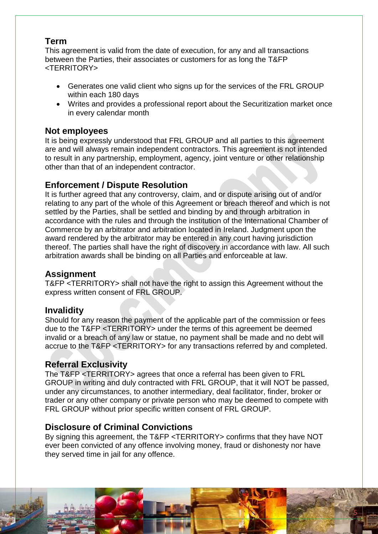### **Term**

This agreement is valid from the date of execution, for any and all transactions between the Parties, their associates or customers for as long the T&FP <TERRITORY>

- Generates one valid client who signs up for the services of the FRL GROUP within each 180 days
- Writes and provides a professional report about the Securitization market once in every calendar month

## **Not employees**

It is being expressly understood that FRL GROUP and all parties to this agreement are and will always remain independent contractors. This agreement is not intended to result in any partnership, employment, agency, joint venture or other relationship other than that of an independent contractor.

# **Enforcement / Dispute Resolution**

It is further agreed that any controversy, claim, and or dispute arising out of and/or relating to any part of the whole of this Agreement or breach thereof and which is not settled by the Parties, shall be settled and binding by and through arbitration in accordance with the rules and through the institution of the International Chamber of Commerce by an arbitrator and arbitration located in Ireland. Judgment upon the award rendered by the arbitrator may be entered in any court having jurisdiction thereof. The parties shall have the right of discovery in accordance with law. All such arbitration awards shall be binding on all Parties and enforceable at law.

# **Assignment**

T&FP <TERRITORY> shall not have the right to assign this Agreement without the express written consent of FRL GROUP.

#### **Invalidity**

Should for any reason the payment of the applicable part of the commission or fees due to the T&FP <TERRITORY> under the terms of this agreement be deemed invalid or a breach of any law or statue, no payment shall be made and no debt will accrue to the T&FP <TERRITORY> for any transactions referred by and completed.

# **Referral Exclusivity**

The T&FP <TERRITORY> agrees that once a referral has been given to FRL GROUP in writing and duly contracted with FRL GROUP, that it will NOT be passed, under any circumstances, to another intermediary, deal facilitator, finder, broker or trader or any other company or private person who may be deemed to compete with FRL GROUP without prior specific written consent of FRL GROUP.

# **Disclosure of Criminal Convictions**

By signing this agreement, the T&FP <TERRITORY> confirms that they have NOT ever been convicted of any offence involving money, fraud or dishonesty nor have they served time in jail for any offence.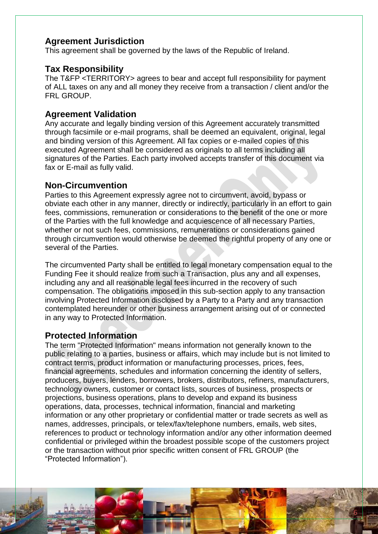## **Agreement Jurisdiction**

This agreement shall be governed by the laws of the Republic of Ireland.

#### **Tax Responsibility**

The T&FP <TERRITORY> agrees to bear and accept full responsibility for payment of ALL taxes on any and all money they receive from a transaction / client and/or the FRL GROUP.

#### **Agreement Validation**

Any accurate and legally binding version of this Agreement accurately transmitted through facsimile or e-mail programs, shall be deemed an equivalent, original, legal and binding version of this Agreement. All fax copies or e-mailed copies of this executed Agreement shall be considered as originals to all terms including all signatures of the Parties. Each party involved accepts transfer of this document via fax or E-mail as fully valid.

#### **Non-Circumvention**

Parties to this Agreement expressly agree not to circumvent, avoid, bypass or obviate each other in any manner, directly or indirectly, particularly in an effort to gain fees, commissions, remuneration or considerations to the benefit of the one or more of the Parties with the full knowledge and acquiescence of all necessary Parties, whether or not such fees, commissions, remunerations or considerations gained through circumvention would otherwise be deemed the rightful property of any one or several of the Parties.

The circumvented Party shall be entitled to legal monetary compensation equal to the Funding Fee it should realize from such a Transaction, plus any and all expenses, including any and all reasonable legal fees incurred in the recovery of such compensation. The obligations imposed in this sub-section apply to any transaction involving Protected Information disclosed by a Party to a Party and any transaction contemplated hereunder or other business arrangement arising out of or connected in any way to Protected Information.

#### **Protected Information**

The term "Protected Information" means information not generally known to the public relating to a parties, business or affairs, which may include but is not limited to contract terms, product information or manufacturing processes, prices, fees, financial agreements, schedules and information concerning the identity of sellers, producers, buyers, lenders, borrowers, brokers, distributors, refiners, manufacturers, technology owners, customer or contact lists, sources of business, prospects or projections, business operations, plans to develop and expand its business operations, data, processes, technical information, financial and marketing information or any other proprietary or confidential matter or trade secrets as well as names, addresses, principals, or telex/fax/telephone numbers, emails, web sites, references to product or technology information and/or any other information deemed confidential or privileged within the broadest possible scope of the customers project or the transaction without prior specific written consent of FRL GROUP (the "Protected Information").

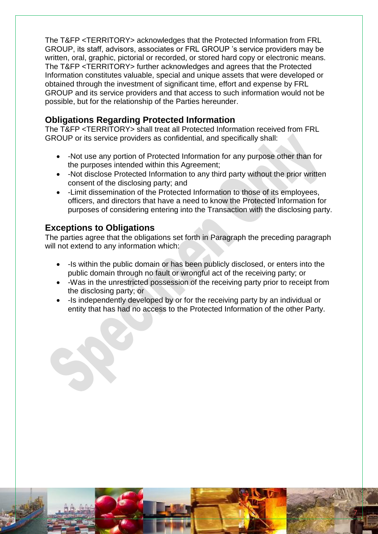The T&FP <TERRITORY> acknowledges that the Protected Information from FRL GROUP, its staff, advisors, associates or FRL GROUP 's service providers may be written, oral, graphic, pictorial or recorded, or stored hard copy or electronic means. The T&FP <TERRITORY> further acknowledges and agrees that the Protected Information constitutes valuable, special and unique assets that were developed or obtained through the investment of significant time, effort and expense by FRL GROUP and its service providers and that access to such information would not be possible, but for the relationship of the Parties hereunder.

# **Obligations Regarding Protected Information**

The T&FP <TERRITORY> shall treat all Protected Information received from FRL GROUP or its service providers as confidential, and specifically shall:

- -Not use any portion of Protected Information for any purpose other than for the purposes intended within this Agreement;
- -Not disclose Protected Information to any third party without the prior written consent of the disclosing party; and
- -Limit dissemination of the Protected Information to those of its employees, officers, and directors that have a need to know the Protected Information for purposes of considering entering into the Transaction with the disclosing party.

# **Exceptions to Obligations**

The parties agree that the obligations set forth in Paragraph the preceding paragraph will not extend to any information which:

- -Is within the public domain or has been publicly disclosed, or enters into the public domain through no fault or wrongful act of the receiving party; or
- -Was in the unrestricted possession of the receiving party prior to receipt from the disclosing party; or
- -Is independently developed by or for the receiving party by an individual or entity that has had no access to the Protected Information of the other Party.